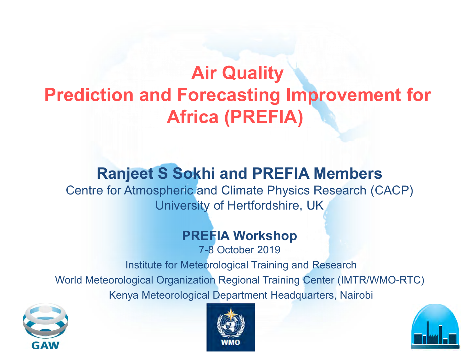## **Air Quality Prediction and Forecasting Improvement for Africa (PREFIA)**

### **Ranjeet S Sokhi and PREFIA Members**

Centre for Atmospheric and Climate Physics Research (CACP) University of Hertfordshire, UK

#### **PREFIA Workshop**

7-8 October 2019

Institute for Meteorological Training and Research World Meteorological Organization Regional Training Center (IMTR/WMO-RTC) Kenya Meteorological Department Headquarters, Nairobi





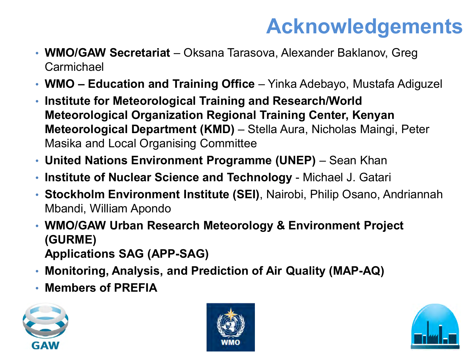# **Acknowledgements**

- **WMO/GAW Secretariat** Oksana Tarasova, Alexander Baklanov, Greg Carmichael
- **WMO – Education and Training Office** Yinka Adebayo, Mustafa Adiguzel
- **Institute for Meteorological Training and Research/World Meteorological Organization Regional Training Center, Kenyan Meteorological Department (KMD)** – Stella Aura, Nicholas Maingi, Peter Masika and Local Organising Committee
- **United Nations Environment Programme (UNEP)** Sean Khan
- **Institute of Nuclear Science and Technology** Michael J. Gatari
- **Stockholm Environment Institute (SEI)**, Nairobi, Philip Osano, Andriannah Mbandi, William Apondo
- **WMO/GAW Urban Research Meteorology & Environment Project (GURME) Applications SAG (APP-SAG)**
- **Monitoring, Analysis, and Prediction of Air Quality (MAP-AQ)**
- **Members of PREFIA**





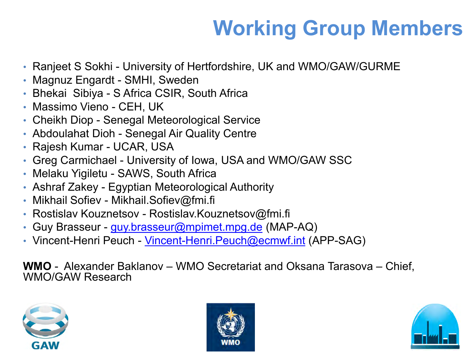# **Working Group Members**

- Ranjeet S Sokhi University of Hertfordshire, UK and WMO/GAW/GURME
- Magnuz Engardt SMHI, Sweden
- Bhekai Sibiya S Africa CSIR, South Africa
- Massimo Vieno CEH, UK
- Cheikh Diop Senegal Meteorological Service
- Abdoulahat Dioh Senegal Air Quality Centre
- Rajesh Kumar UCAR, USA
- Greg Carmichael University of Iowa, USA and WMO/GAW SSC
- Melaku Yigiletu SAWS, South Africa
- Ashraf Zakey Egyptian Meteorological Authority
- Mikhail Sofiev Mikhail.Sofiev@fmi.fi
- Rostislav Kouznetsov Rostislav.Kouznetsov@fmi.fi
- Guy Brasseur [guy.brasseur@mpimet.mpg.de](mailto:guy.brasseur@mpimet.mpg.de) (MAP-AQ)
- Vincent-Henri Peuch Vincent-Henri. Peuch@ecmwf.int (APP-SAG)

**WMO** - Alexander Baklanov – WMO Secretariat and Oksana Tarasova – Chief, WMO/GAW Research





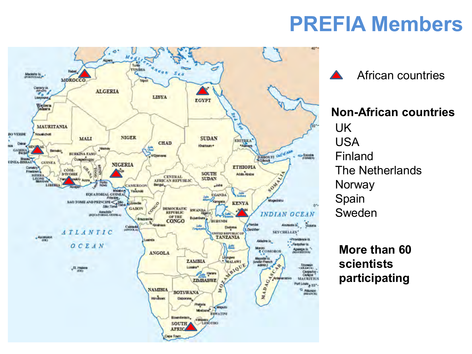## **PREFIA Members**



African countries

**Non-African countries** UK USA Finland The Netherlands **Norway** Spain Sweden

**More than 60 scientists participating**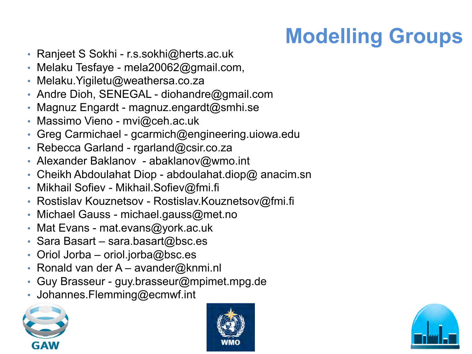# **Modelling Groups**

- Ranjeet S Sokhi r.s.sokhi@herts.ac.uk
- Melaku Tesfaye mela20062@gmail.com,
- Melaku.Yigiletu@weathersa.co.za
- Andre Dioh, SENEGAL diohandre@gmail.com
- Magnuz Engardt magnuz.engardt@smhi.se
- Massimo Vieno mvi@ceh.ac.uk
- Greg Carmichael gcarmich@engineering.uiowa.edu
- Rebecca Garland rgarland@csir.co.za
- Alexander Baklanov abaklanov@wmo.int
- Cheikh Abdoulahat Diop abdoulahat.diop@ anacim.sn
- Mikhail Sofiev Mikhail.Sofiev@fmi.fi
- Rostislav Kouznetsov Rostislav.Kouznetsov@fmi.fi
- Michael Gauss michael.gauss@met.no
- Mat Evans mat.evans@york.ac.uk
- Sara Basart sara.basart@bsc.es
- Oriol Jorba oriol.jorba@bsc.es
- Ronald van der A avander@knmi.nl
- Guy Brasseur guy.brasseur@mpimet.mpg.de
- Johannes.Flemming@ecmwf.int





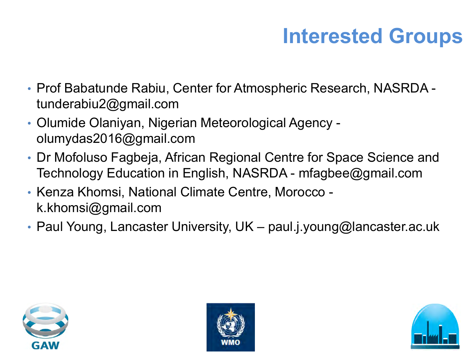# **Interested Groups**

- Prof Babatunde Rabiu, Center for Atmospheric Research, NASRDA tunderabiu2@gmail.com
- Olumide Olaniyan, Nigerian Meteorological Agency olumydas2016@gmail.com
- Dr Mofoluso Fagbeja, African Regional Centre for Space Science and Technology Education in English, NASRDA - mfagbee@gmail.com
- Kenza Khomsi, National Climate Centre, Morocco k.khomsi@gmail.com
- Paul Young, Lancaster University, UK paul.j.young@lancaster.ac.uk





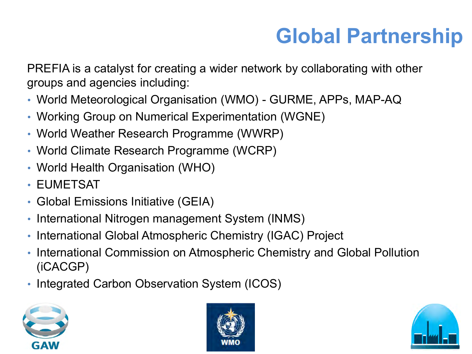## **Global Partnership**

PREFIA is a catalyst for creating a wider network by collaborating with other groups and agencies including:

- World Meteorological Organisation (WMO) GURME, APPs, MAP-AQ
- Working Group on Numerical Experimentation (WGNE)
- World Weather Research Programme (WWRP)
- World Climate Research Programme (WCRP)
- World Health Organisation (WHO)
- EUMETSAT
- Global Emissions Initiative (GEIA)
- International Nitrogen management System (INMS)
- International Global Atmospheric Chemistry (IGAC) Project
- International Commission on Atmospheric Chemistry and Global Pollution (iCACGP)
- Integrated Carbon Observation System (ICOS)





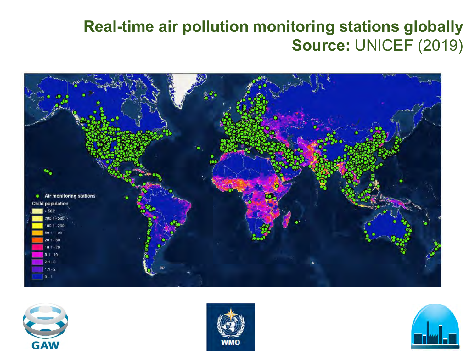### **Real-time air pollution monitoring stations globally Source:** UNICEF (2019)







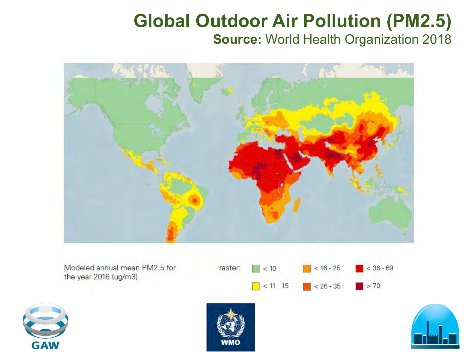### **Global Outdoor Air Pollution (PM2.5) Source:** World Health Organization 2018



Modeled annual mean PM2.5 for the year 2016 (ug/m3)







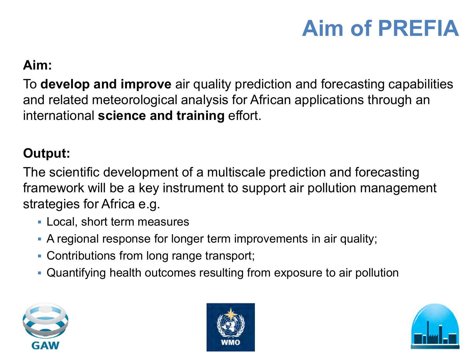# **Aim of PREFIA**

### **Aim:**

To **develop and improve** air quality prediction and forecasting capabilities and related meteorological analysis for African applications through an international **science and training** effort.

### **Output:**

The scientific development of a multiscale prediction and forecasting framework will be a key instrument to support air pollution management strategies for Africa e.g.

- Local, short term measures
- A regional response for longer term improvements in air quality;
- Contributions from long range transport;
- Quantifying health outcomes resulting from exposure to air pollution





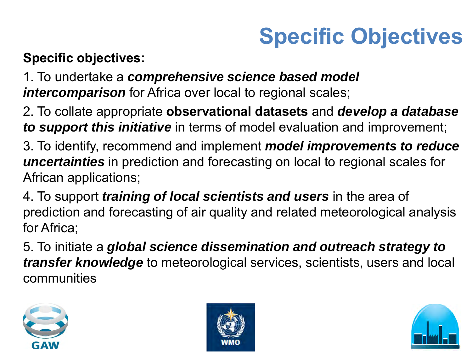# **Specific Objectives**

### **Specific objectives:**

1. To undertake a *comprehensive science based model intercomparison* for Africa over local to regional scales;

2. To collate appropriate **observational datasets** and *develop a database to support this initiative* in terms of model evaluation and improvement;

3. To identify, recommend and implement *model improvements to reduce uncertainties* in prediction and forecasting on local to regional scales for African applications;

4. To support *training of local scientists and users* in the area of prediction and forecasting of air quality and related meteorological analysis for Africa;

5. To initiate a *global science dissemination and outreach strategy to transfer knowledge* to meteorological services, scientists, users and local communities





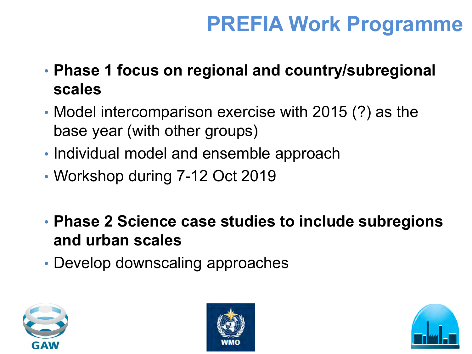## **PREFIA Work Programme**

- **Phase 1 focus on regional and country/subregional scales**
- Model intercomparison exercise with 2015 (?) as the base year (with other groups)
- Individual model and ensemble approach
- Workshop during 7-12 Oct 2019
- **Phase 2 Science case studies to include subregions and urban scales**
- Develop downscaling approaches





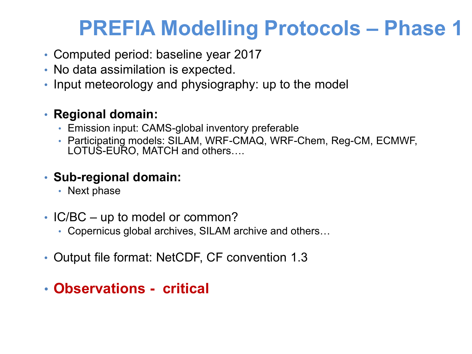## **PREFIA Modelling Protocols – Phase 1**

- Computed period: baseline year 2017
- No data assimilation is expected.
- Input meteorology and physiography: up to the model

#### • **Regional domain:**

- Emission input: CAMS-global inventory preferable
- Participating models: SILAM, WRF-CMAQ, WRF-Chem, Reg-CM, ECMWF, LOTUS-EURO, MATCH and others….

#### • **Sub-regional domain:**

- Next phase
- IC/BC up to model or common?
	- Copernicus global archives, SILAM archive and others…
- Output file format: NetCDF, CF convention 1.3

### • **Observations - critical**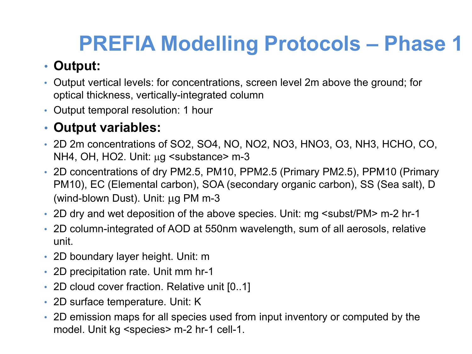# **PREFIA Modelling Protocols – Phase 1**

### • **Output:**

- Output vertical levels: for concentrations, screen level 2m above the ground; for optical thickness, vertically-integrated column
- Output temporal resolution: 1 hour

### • **Output variables:**

- 2D 2m concentrations of SO2, SO4, NO, NO2, NO3, HNO3, O3, NH3, HCHO, CO, NH4, OH, HO2. Unit:  $\mu$ g < substance > m-3
- 2D concentrations of dry PM2.5, PM10, PPM2.5 (Primary PM2.5), PPM10 (Primary PM10), EC (Elemental carbon), SOA (secondary organic carbon), SS (Sea salt), D (wind-blown Dust). Unit: µg PM m-3
- 2D dry and wet deposition of the above species. Unit: mg < subst/PM > m-2 hr-1
- 2D column-integrated of AOD at 550nm wavelength, sum of all aerosols, relative unit.
- 2D boundary layer height. Unit: m
- 2D precipitation rate. Unit mm hr-1
- 2D cloud cover fraction. Relative unit [0..1]
- 2D surface temperature. Unit: K
- 2D emission maps for all species used from input inventory or computed by the model. Unit kg <species> m-2 hr-1 cell-1.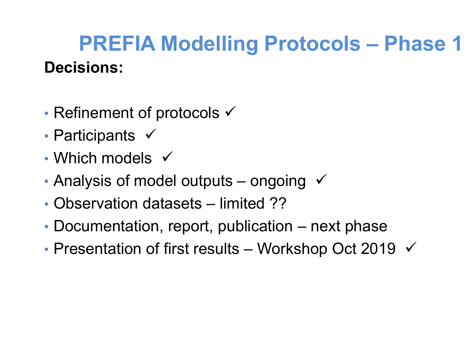## **Decisions: PREFIA Modelling Protocols – Phase 1**

- Refinement of protocols  $\checkmark$
- Participants  $\checkmark$
- Which models  $\checkmark$
- Analysis of model outputs ongoing  $\checkmark$
- Observation datasets limited ??
- Documentation, report, publication next phase
- Presentation of first results Workshop Oct 2019  $\checkmark$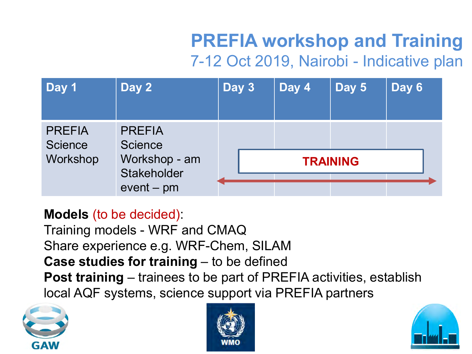### **PREFIA workshop and Training** 7-12 Oct 2019, Nairobi - Indicative plan

| Day 1                                       | Day 2                                                                           | Day 3           | Day 4 | Day 5 | Day 6 |
|---------------------------------------------|---------------------------------------------------------------------------------|-----------------|-------|-------|-------|
| <b>PREFIA</b><br><b>Science</b><br>Workshop | <b>PREFIA</b><br><b>Science</b><br>Workshop - am<br>Stakeholder<br>$event - pm$ |                 |       |       |       |
|                                             |                                                                                 | <b>TRAINING</b> |       |       |       |
|                                             |                                                                                 |                 |       |       |       |

#### **Models** (to be decided):

Training models - WRF and CMAQ Share experience e.g. WRF-Chem, SILAM **Case studies for training** – to be defined **Post training** – trainees to be part of PREFIA activities, establish local AQF systems, science support via PREFIA partners





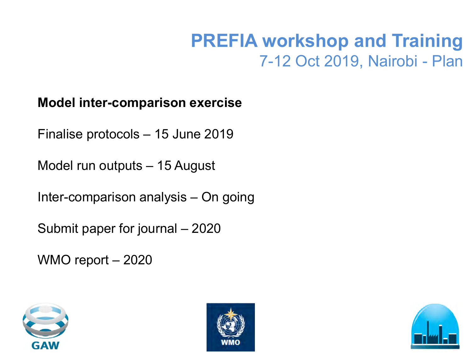### **PREFIA workshop and Training** 7-12 Oct 2019, Nairobi - Plan

#### **Model inter-comparison exercise**

Finalise protocols – 15 June 2019

Model run outputs – 15 August

Inter-comparison analysis – On going

Submit paper for journal – 2020

WMO report – 2020